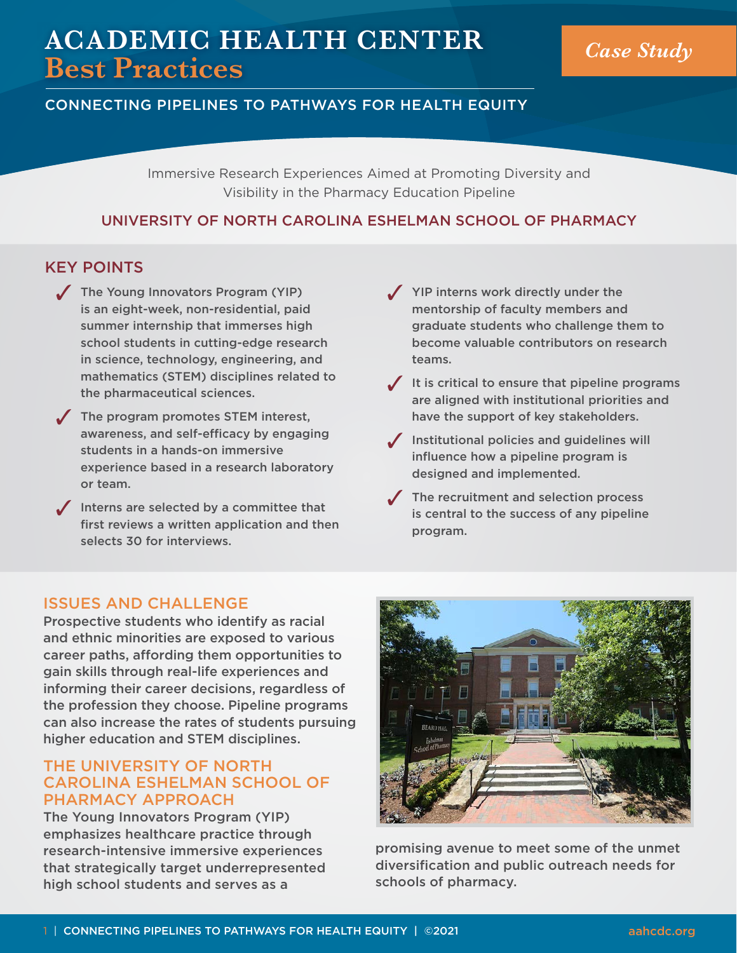# **ACADEMIC HEALTH CENTER Best Practices** *Case Study*

# CONNECTING PIPELINES TO PATHWAYS FOR HEALTH EQUITY

Immersive Research Experiences Aimed at Promoting Diversity and Visibility in the Pharmacy Education Pipeline

#### UNIVERSITY OF NORTH CAROLINA ESHELMAN SCHOOL OF PHARMACY

#### KEY POINTS

- $\sqrt{\phantom{a}}$  The Young Innovators Program (YIP) is an eight-week, non-residential, paid summer internship that immerses high school students in cutting-edge research in science, technology, engineering, and mathematics (STEM) disciplines related to the pharmaceutical sciences.
- $\sqrt{\phantom{a}}$  The program promotes STEM interest, awareness, and self-efficacy by engaging students in a hands-on immersive experience based in a research laboratory or team.
- $\sqrt{\ }$  Interns are selected by a committee that first reviews a written application and then selects 30 for interviews.
- $\sqrt{ }$  YIP interns work directly under the mentorship of faculty members and graduate students who challenge them to become valuable contributors on research teams.
- $\sqrt{ }$  It is critical to ensure that pipeline programs are aligned with institutional priorities and have the support of key stakeholders.
- $\sqrt{\ }$  Institutional policies and guidelines will influence how a pipeline program is designed and implemented.
- $\sqrt{\phantom{a}}$  The recruitment and selection process is central to the success of any pipeline program.

# ISSUES AND CHALLENGE

Prospective students who identify as racial and ethnic minorities are exposed to various career paths, affording them opportunities to gain skills through real-life experiences and informing their career decisions, regardless of the profession they choose. Pipeline programs can also increase the rates of students pursuing higher education and STEM disciplines.

# THE UNIVERSITY OF NORTH CAROLINA ESHELMAN SCHOOL OF PHARMACY APPROACH

The Young Innovators Program (YIP) emphasizes healthcare practice through research-intensive immersive experiences that strategically target underrepresented high school students and serves as a



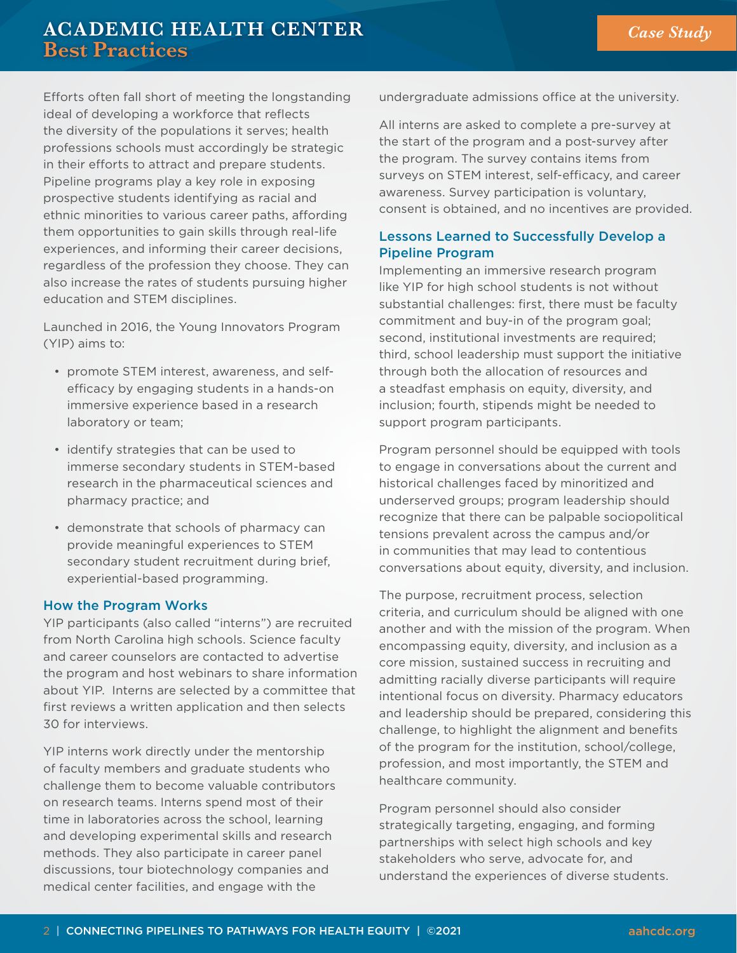# **ACADEMIC HEALTH CENTER Best Practices**

Efforts often fall short of meeting the longstanding ideal of developing a workforce that reflects the diversity of the populations it serves; health professions schools must accordingly be strategic in their efforts to attract and prepare students. Pipeline programs play a key role in exposing prospective students identifying as racial and ethnic minorities to various career paths, affording them opportunities to gain skills through real-life experiences, and informing their career decisions, regardless of the profession they choose. They can also increase the rates of students pursuing higher education and STEM disciplines.

Launched in 2016, the Young Innovators Program (YIP) aims to:

- promote STEM interest, awareness, and selfefficacy by engaging students in a hands-on immersive experience based in a research laboratory or team;
- identify strategies that can be used to immerse secondary students in STEM-based research in the pharmaceutical sciences and pharmacy practice; and
- demonstrate that schools of pharmacy can provide meaningful experiences to STEM secondary student recruitment during brief, experiential-based programming.

#### How the Program Works

YIP participants (also called "interns") are recruited from North Carolina high schools. Science faculty and career counselors are contacted to advertise the program and host webinars to share information about YIP. Interns are selected by a committee that first reviews a written application and then selects 30 for interviews.

YIP interns work directly under the mentorship of faculty members and graduate students who challenge them to become valuable contributors on research teams. Interns spend most of their time in laboratories across the school, learning and developing experimental skills and research methods. They also participate in career panel discussions, tour biotechnology companies and medical center facilities, and engage with the

undergraduate admissions office at the university.

All interns are asked to complete a pre-survey at the start of the program and a post-survey after the program. The survey contains items from surveys on STEM interest, self-efficacy, and career awareness. Survey participation is voluntary, consent is obtained, and no incentives are provided.

#### Lessons Learned to Successfully Develop a Pipeline Program

Implementing an immersive research program like YIP for high school students is not without substantial challenges: first, there must be faculty commitment and buy-in of the program goal; second, institutional investments are required; third, school leadership must support the initiative through both the allocation of resources and a steadfast emphasis on equity, diversity, and inclusion; fourth, stipends might be needed to support program participants.

Program personnel should be equipped with tools to engage in conversations about the current and historical challenges faced by minoritized and underserved groups; program leadership should recognize that there can be palpable sociopolitical tensions prevalent across the campus and/or in communities that may lead to contentious conversations about equity, diversity, and inclusion.

The purpose, recruitment process, selection criteria, and curriculum should be aligned with one another and with the mission of the program. When encompassing equity, diversity, and inclusion as a core mission, sustained success in recruiting and admitting racially diverse participants will require intentional focus on diversity. Pharmacy educators and leadership should be prepared, considering this challenge, to highlight the alignment and benefits of the program for the institution, school/college, profession, and most importantly, the STEM and healthcare community.

Program personnel should also consider strategically targeting, engaging, and forming partnerships with select high schools and key stakeholders who serve, advocate for, and understand the experiences of diverse students.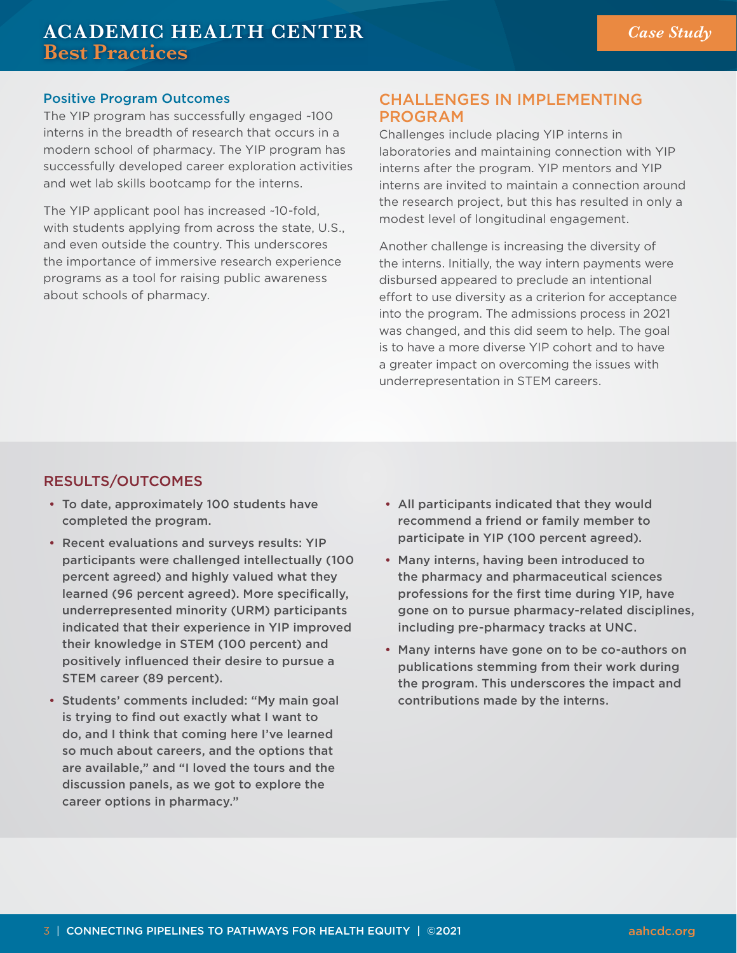#### Positive Program Outcomes

The YIP program has successfully engaged ~100 interns in the breadth of research that occurs in a modern school of pharmacy. The YIP program has successfully developed career exploration activities and wet lab skills bootcamp for the interns.

The YIP applicant pool has increased ~10-fold, with students applying from across the state, U.S., and even outside the country. This underscores the importance of immersive research experience programs as a tool for raising public awareness about schools of pharmacy.

# CHALLENGES IN IMPLEMENTING PROGRAM

Challenges include placing YIP interns in laboratories and maintaining connection with YIP interns after the program. YIP mentors and YIP interns are invited to maintain a connection around the research project, but this has resulted in only a modest level of longitudinal engagement.

Another challenge is increasing the diversity of the interns. Initially, the way intern payments were disbursed appeared to preclude an intentional effort to use diversity as a criterion for acceptance into the program. The admissions process in 2021 was changed, and this did seem to help. The goal is to have a more diverse YIP cohort and to have a greater impact on overcoming the issues with underrepresentation in STEM careers.

#### RESULTS/OUTCOMES

- To date, approximately 100 students have completed the program.
- Recent evaluations and surveys results: YIP participants were challenged intellectually (100 percent agreed) and highly valued what they learned (96 percent agreed). More specifically, underrepresented minority (URM) participants indicated that their experience in YIP improved their knowledge in STEM (100 percent) and positively influenced their desire to pursue a STEM career (89 percent).
- Students' comments included: "My main goal is trying to find out exactly what I want to do, and I think that coming here I've learned so much about careers, and the options that are available," and "I loved the tours and the discussion panels, as we got to explore the career options in pharmacy."
- All participants indicated that they would recommend a friend or family member to participate in YIP (100 percent agreed).
- Many interns, having been introduced to the pharmacy and pharmaceutical sciences professions for the first time during YIP, have gone on to pursue pharmacy-related disciplines, including pre-pharmacy tracks at UNC.
- Many interns have gone on to be co-authors on publications stemming from their work during the program. This underscores the impact and contributions made by the interns.